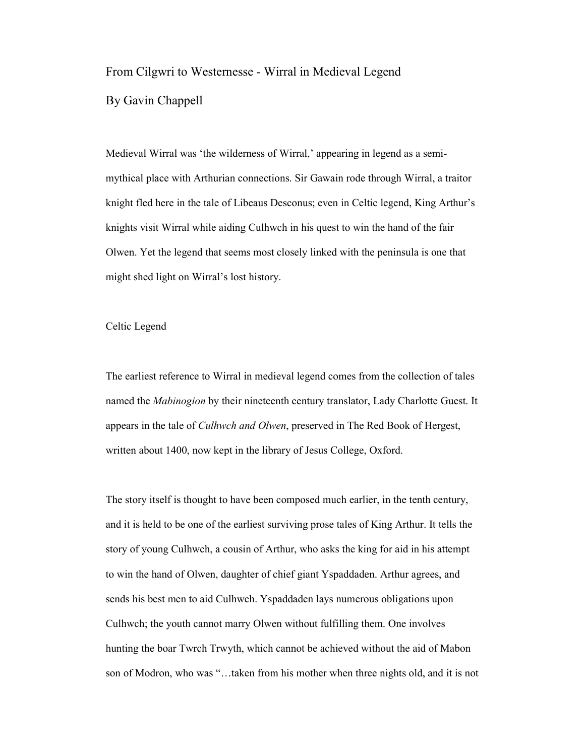## From Cilgwri to Westernesse - Wirral in Medieval Legend

By Gavin Chappell

Medieval Wirral was 'the wilderness of Wirral,' appearing in legend as a semimythical place with Arthurian connections. Sir Gawain rode through Wirral, a traitor knight fled here in the tale of Libeaus Desconus; even in Celtic legend, King Arthur's knights visit Wirral while aiding Culhwch in his quest to win the hand of the fair Olwen. Yet the legend that seems most closely linked with the peninsula is one that might shed light on Wirral's lost history.

## Celtic Legend

The earliest reference to Wirral in medieval legend comes from the collection of tales named the *Mabinogion* by their nineteenth century translator, Lady Charlotte Guest. It appears in the tale of *Culhwch and Olwen*, preserved in The Red Book of Hergest, written about 1400, now kept in the library of Jesus College, Oxford.

The story itself is thought to have been composed much earlier, in the tenth century, and it is held to be one of the earliest surviving prose tales of King Arthur. It tells the story of young Culhwch, a cousin of Arthur, who asks the king for aid in his attempt to win the hand of Olwen, daughter of chief giant Yspaddaden. Arthur agrees, and sends his best men to aid Culhwch. Yspaddaden lays numerous obligations upon Culhwch; the youth cannot marry Olwen without fulfilling them. One involves hunting the boar Twrch Trwyth, which cannot be achieved without the aid of Mabon son of Modron, who was "…taken from his mother when three nights old, and it is not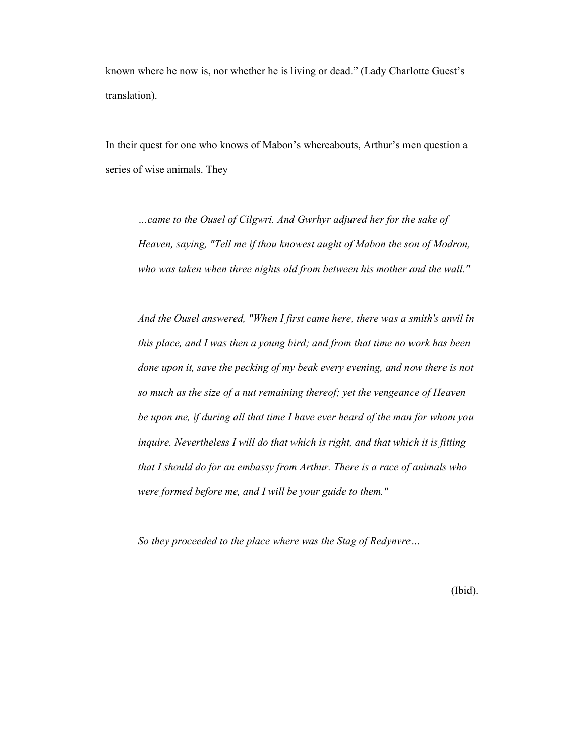known where he now is, nor whether he is living or dead." (Lady Charlotte Guest's translation).

In their quest for one who knows of Mabon's whereabouts, Arthur's men question a series of wise animals. They

*…came to the Ousel of Cilgwri. And Gwrhyr adjured her for the sake of Heaven, saying, "Tell me if thou knowest aught of Mabon the son of Modron, who was taken when three nights old from between his mother and the wall."* 

*And the Ousel answered, "When I first came here, there was a smith's anvil in this place, and I was then a young bird; and from that time no work has been done upon it, save the pecking of my beak every evening, and now there is not so much as the size of a nut remaining thereof; yet the vengeance of Heaven be upon me, if during all that time I have ever heard of the man for whom you inquire. Nevertheless I will do that which is right, and that which it is fitting that I should do for an embassy from Arthur. There is a race of animals who were formed before me, and I will be your guide to them."* 

*So they proceeded to the place where was the Stag of Redynvre…* 

(Ibid).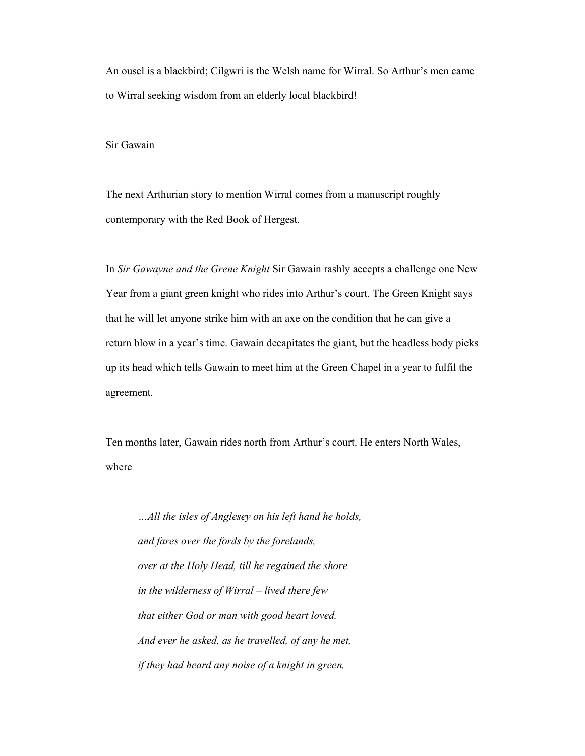An ousel is a blackbird; Cilgwri is the Welsh name for Wirral. So Arthur's men came to Wirral seeking wisdom from an elderly local blackbird!

Sir Gawain

The next Arthurian story to mention Wirral comes from a manuscript roughly contemporary with the Red Book of Hergest.

In *Sir Gawayne and the Grene Knight* Sir Gawain rashly accepts a challenge one New Year from a giant green knight who rides into Arthur's court. The Green Knight says that he will let anyone strike him with an axe on the condition that he can give a return blow in a year's time. Gawain decapitates the giant, but the headless body picks up its head which tells Gawain to meet him at the Green Chapel in a year to fulfil the agreement.

Ten months later, Gawain rides north from Arthur's court. He enters North Wales, where

*…All the isles of Anglesey on his left hand he holds, and fares over the fords by the forelands, over at the Holy Head, till he regained the shore in the wilderness of Wirral – lived there few that either God or man with good heart loved. And ever he asked, as he travelled, of any he met, if they had heard any noise of a knight in green,*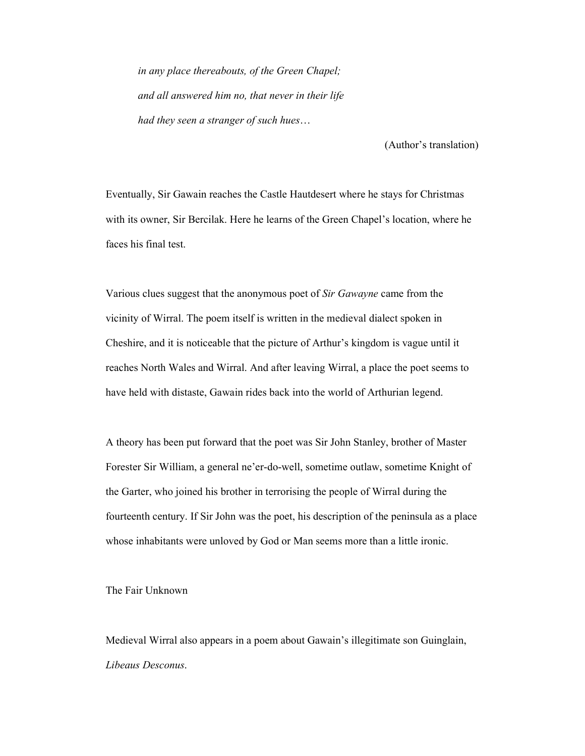*in any place thereabouts, of the Green Chapel; and all answered him no, that never in their life had they seen a stranger of such hues*…

(Author's translation)

Eventually, Sir Gawain reaches the Castle Hautdesert where he stays for Christmas with its owner, Sir Bercilak. Here he learns of the Green Chapel's location, where he faces his final test.

Various clues suggest that the anonymous poet of *Sir Gawayne* came from the vicinity of Wirral. The poem itself is written in the medieval dialect spoken in Cheshire, and it is noticeable that the picture of Arthur's kingdom is vague until it reaches North Wales and Wirral. And after leaving Wirral, a place the poet seems to have held with distaste, Gawain rides back into the world of Arthurian legend.

A theory has been put forward that the poet was Sir John Stanley, brother of Master Forester Sir William, a general ne'er-do-well, sometime outlaw, sometime Knight of the Garter, who joined his brother in terrorising the people of Wirral during the fourteenth century. If Sir John was the poet, his description of the peninsula as a place whose inhabitants were unloved by God or Man seems more than a little ironic.

The Fair Unknown

Medieval Wirral also appears in a poem about Gawain's illegitimate son Guinglain, *Libeaus Desconus*.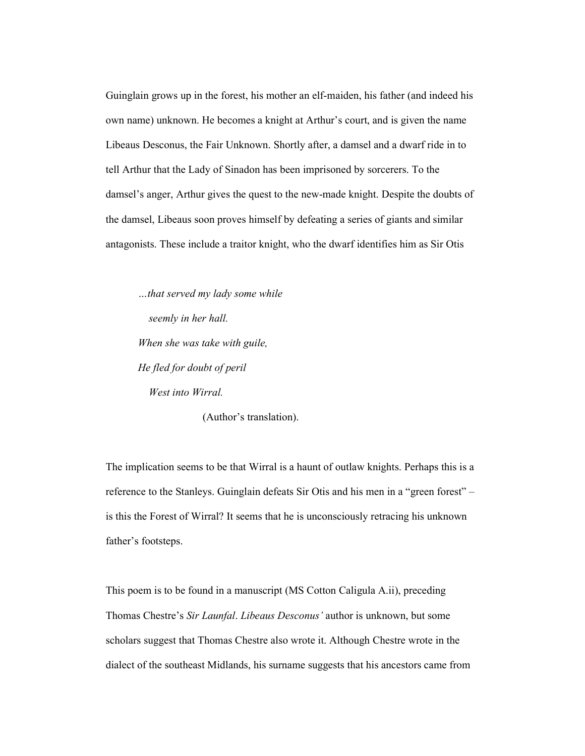Guinglain grows up in the forest, his mother an elf-maiden, his father (and indeed his own name) unknown. He becomes a knight at Arthur's court, and is given the name Libeaus Desconus, the Fair Unknown. Shortly after, a damsel and a dwarf ride in to tell Arthur that the Lady of Sinadon has been imprisoned by sorcerers. To the damsel's anger, Arthur gives the quest to the new-made knight. Despite the doubts of the damsel, Libeaus soon proves himself by defeating a series of giants and similar antagonists. These include a traitor knight, who the dwarf identifies him as Sir Otis

*…that served my lady some while seemly in her hall. When she was take with guile, He fled for doubt of peril West into Wirral.* 

(Author's translation).

The implication seems to be that Wirral is a haunt of outlaw knights. Perhaps this is a reference to the Stanleys. Guinglain defeats Sir Otis and his men in a "green forest" – is this the Forest of Wirral? It seems that he is unconsciously retracing his unknown father's footsteps.

This poem is to be found in a manuscript (MS Cotton Caligula A.ii), preceding Thomas Chestre's *Sir Launfal*. *Libeaus Desconus'* author is unknown, but some scholars suggest that Thomas Chestre also wrote it. Although Chestre wrote in the dialect of the southeast Midlands, his surname suggests that his ancestors came from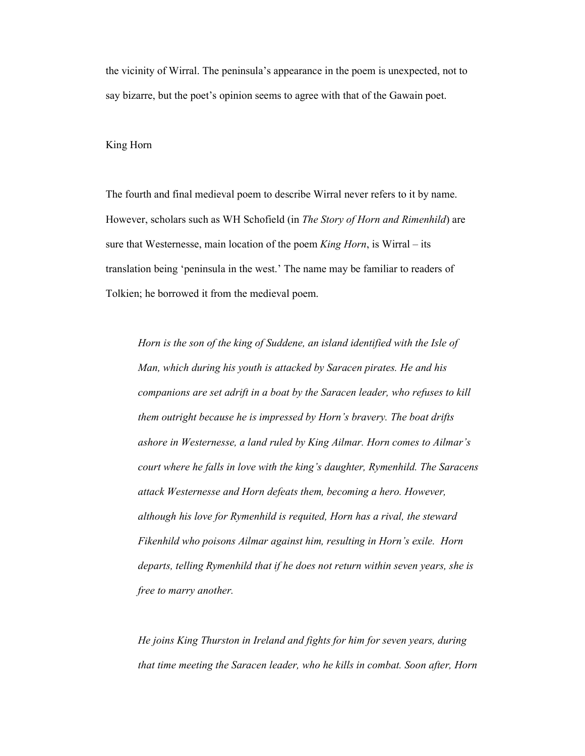the vicinity of Wirral. The peninsula's appearance in the poem is unexpected, not to say bizarre, but the poet's opinion seems to agree with that of the Gawain poet.

## King Horn

The fourth and final medieval poem to describe Wirral never refers to it by name. However, scholars such as WH Schofield (in *The Story of Horn and Rimenhild*) are sure that Westernesse, main location of the poem *King Horn*, is Wirral – its translation being 'peninsula in the west.' The name may be familiar to readers of Tolkien; he borrowed it from the medieval poem.

*Horn is the son of the king of Suddene, an island identified with the Isle of Man, which during his youth is attacked by Saracen pirates. He and his companions are set adrift in a boat by the Saracen leader, who refuses to kill them outright because he is impressed by Horn's bravery. The boat drifts ashore in Westernesse, a land ruled by King Ailmar. Horn comes to Ailmar's court where he falls in love with the king's daughter, Rymenhild. The Saracens attack Westernesse and Horn defeats them, becoming a hero. However, although his love for Rymenhild is requited, Horn has a rival, the steward Fikenhild who poisons Ailmar against him, resulting in Horn's exile. Horn departs, telling Rymenhild that if he does not return within seven years, she is free to marry another.* 

*He joins King Thurston in Ireland and fights for him for seven years, during that time meeting the Saracen leader, who he kills in combat. Soon after, Horn*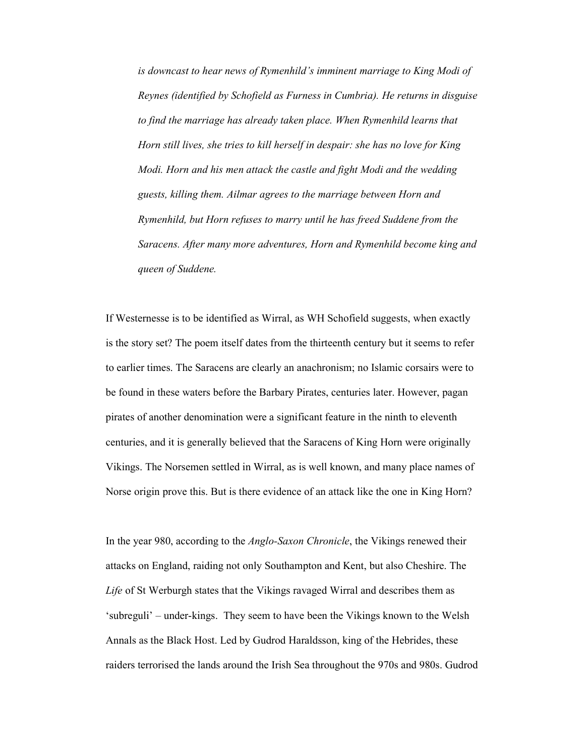*is downcast to hear news of Rymenhild's imminent marriage to King Modi of Reynes (identified by Schofield as Furness in Cumbria). He returns in disguise*  to find the marriage has already taken place. When Rymenhild learns that *Horn still lives, she tries to kill herself in despair: she has no love for King Modi. Horn and his men attack the castle and fight Modi and the wedding guests, killing them. Ailmar agrees to the marriage between Horn and Rymenhild, but Horn refuses to marry until he has freed Suddene from the Saracens. After many more adventures, Horn and Rymenhild become king and queen of Suddene.*

If Westernesse is to be identified as Wirral, as WH Schofield suggests, when exactly is the story set? The poem itself dates from the thirteenth century but it seems to refer to earlier times. The Saracens are clearly an anachronism; no Islamic corsairs were to be found in these waters before the Barbary Pirates, centuries later. However, pagan pirates of another denomination were a significant feature in the ninth to eleventh centuries, and it is generally believed that the Saracens of King Horn were originally Vikings. The Norsemen settled in Wirral, as is well known, and many place names of Norse origin prove this. But is there evidence of an attack like the one in King Horn?

In the year 980, according to the *Anglo-Saxon Chronicle*, the Vikings renewed their attacks on England, raiding not only Southampton and Kent, but also Cheshire. The *Life* of St Werburgh states that the Vikings ravaged Wirral and describes them as 'subreguli' – under-kings. They seem to have been the Vikings known to the Welsh Annals as the Black Host. Led by Gudrod Haraldsson, king of the Hebrides, these raiders terrorised the lands around the Irish Sea throughout the 970s and 980s. Gudrod